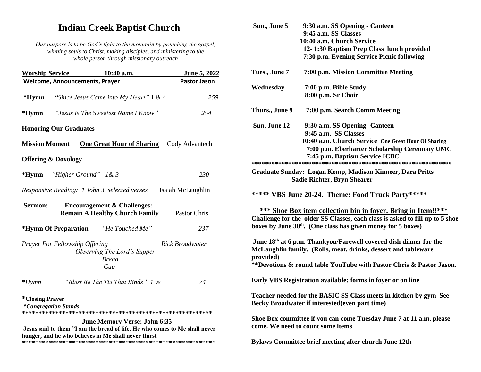## **Indian Creek Baptist Church**

*Our purpose is to be God's light to the mountain by preaching the gospel, winning souls to Christ, making disciples, and ministering to the whole person through missionary outreach*

| <b>Worship Service</b> |                                       | 10:40 a.m.                                                                                                                                                                | <b>June 5, 2022</b> |
|------------------------|---------------------------------------|---------------------------------------------------------------------------------------------------------------------------------------------------------------------------|---------------------|
|                        | <b>Welcome, Announcements, Prayer</b> |                                                                                                                                                                           | <b>Pastor Jason</b> |
| *Hymn                  |                                       | "Since Jesus Came into My Heart" 1 & 4                                                                                                                                    | 259                 |
| $*Hymn$                |                                       | "Jesus Is The Sweetest Name I Know"                                                                                                                                       | 254                 |
|                        | <b>Honoring Our Graduates</b>         |                                                                                                                                                                           |                     |
| <b>Mission Moment</b>  |                                       | <b>One Great Hour of Sharing</b>                                                                                                                                          | Cody Advantech      |
|                        | <b>Offering &amp; Doxology</b>        |                                                                                                                                                                           |                     |
| $*Hymn$                | "Higher Ground" 1& 3                  |                                                                                                                                                                           | 230                 |
|                        |                                       | Responsive Reading: 1 John 3 selected verses                                                                                                                              | Isaiah McLaughlin   |
| Sermon:                |                                       | <b>Encouragement &amp; Challenges:</b><br><b>Remain A Healthy Church Family</b>                                                                                           | Pastor Chris        |
|                        |                                       | <i>*Hymn Of Preparation "He Touched Me"</i>                                                                                                                               | 237                 |
|                        | Prayer For Fellowship Offering        | Observing The Lord's Supper<br><b>Bread</b><br>Cup                                                                                                                        | Rick Broadwater     |
| $*H$ <sub>ymn</sub>    |                                       | "Blest Be The Tie That Binds" 1 vs                                                                                                                                        | 74                  |
| <i>*Closing Prayer</i> | <i>*Congregation Stands</i>           | <b>June Memory Verse: John 6:35</b><br>Jesus said to them "I am the bread of life. He who comes to Me shall never<br>hunger, and he who believes in Me shall never thirst |                     |

| Sun., June 5   | 9:30 a.m. SS Opening - Canteen                                                                                                                                                                                                                                                         |
|----------------|----------------------------------------------------------------------------------------------------------------------------------------------------------------------------------------------------------------------------------------------------------------------------------------|
|                | 9:45 a.m. SS Classes                                                                                                                                                                                                                                                                   |
|                | 10:40 a.m. Church Service                                                                                                                                                                                                                                                              |
|                | 12-1:30 Baptism Prep Class lunch provided                                                                                                                                                                                                                                              |
|                | 7:30 p.m. Evening Service Picnic following                                                                                                                                                                                                                                             |
| Tues., June 7  | 7:00 p.m. Mission Committee Meeting                                                                                                                                                                                                                                                    |
| Wednesday      | 7:00 p.m. Bible Study                                                                                                                                                                                                                                                                  |
|                | 8:00 p.m. Sr Choir                                                                                                                                                                                                                                                                     |
| Thurs., June 9 | 7:00 p.m. Search Comm Meeting                                                                                                                                                                                                                                                          |
| Sun. June 12   | 9:30 a.m. SS Opening- Canteen                                                                                                                                                                                                                                                          |
|                | 9:45 a.m. SS Classes                                                                                                                                                                                                                                                                   |
|                | 10:40 a.m. Church Service One Great Hour Of Sharing                                                                                                                                                                                                                                    |
|                | 7:00 p.m. Eberharter Scholarship Ceremony UMC                                                                                                                                                                                                                                          |
|                | 7:45 p.m. Baptism Service ICBC                                                                                                                                                                                                                                                         |
|                |                                                                                                                                                                                                                                                                                        |
|                | Graduate Sunday: Logan Kemp, Madison Kinneer, Dara Pritts<br><b>Sadie Richter, Bryn Shearer</b>                                                                                                                                                                                        |
|                | ***** VBS June 20-24. Theme: Food Truck Party*****<br><b>*** Shoe Box item collection bin in foyer. Bring in Item!!***</b><br>Challenge for the older SS Classes, each class is asked to fill up to 5 shoe<br>boxes by June 30 <sup>th</sup> . (One class has given money for 5 boxes) |
| provided)      | June 18 <sup>th</sup> at 6 p.m. Thankyou/Farewell covered dish dinner for the<br>McLaughlin family. (Rolls, meat, drinks, dessert and tableware<br>**Devotions & round table YouTube with Pastor Chris & Pastor Jason.                                                                 |
|                | Early VBS Registration available: forms in foyer or on line                                                                                                                                                                                                                            |
|                | Teacher needed for the BASIC SS Class meets in kitchen by gym See<br>Becky Broadwater if interested(even part time)                                                                                                                                                                    |
|                | Shoe Box committee if you can come Tuesday June 7 at 11 a.m. please<br>come. We need to count some items                                                                                                                                                                               |
|                | Bylaws Committee brief meeting after church June 12th                                                                                                                                                                                                                                  |